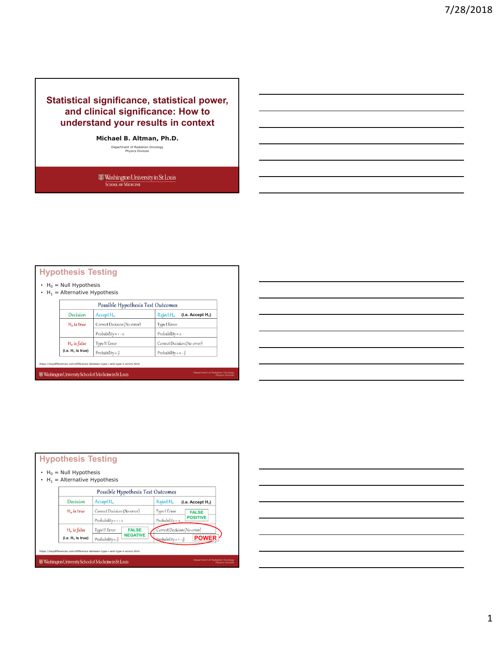# **Statistical significance, statistical power, and clinical significance: How to understand your results in context**

**Michael B. Altman, Ph.D.**

Department of Radiation Oncology Physics Division

 $\begin{tabular}{c} {\bf \textcolor{red}{\bf \textcolor{green}{\bf \textcolor{green}{\bf \textcolor{green}{\bf \textcolor{green}{\bf \textcolor{green}{\bf \textcolor{green}{\bf \textcolor{green}{\bf \textcolor{green}{\bf \textcolor{green}{\bf \textcolor{green}{\bf \textcolor{green}{\bf \textcolor{green}{\bf \textcolor{green}{\bf \textcolor{blue}{\bf \textcolor{blue}{\bf \textcolor{blue}{\bf \textcolor{blue}{\bf \textcolor{blue}{\bf \textcolor{blue}{\bf \textcolor{blue}{\bf \textcolor{blue}{\bf \textcolor{blue}{\bf \textcolor{blue}{\bf \textcolor{blue}{\bf \textcolor{blue}{\bf \text$ 

## **Hypothesis Testing**

•  $H_0 =$  Null Hypothesis

•  $H_1$  = Alternative Hypothesis

| Possible Hypothesis Test Outcomes |                                              |                                                        |  |  |
|-----------------------------------|----------------------------------------------|--------------------------------------------------------|--|--|
| Decision                          | Accept H <sub>o</sub>                        | Reject H <sub>o</sub><br>(i.e. Accept H <sub>1</sub> ) |  |  |
| $Ho$ is true                      | Correct Decision (No error)                  | Type I Error                                           |  |  |
|                                   | Probability = $1 - \alpha$                   | Probability = $\alpha$                                 |  |  |
| $Ho$ is false                     | Correct Decision (No error)<br>Type II Error |                                                        |  |  |
| (i.e. H <sub>1</sub> is true)     | Probability = $\beta$                        | Probability = $1 - \beta$                              |  |  |

Department of Radiation Oncology Physics Division

https://keydifferences.com/difference-between-type-i-and-type-ii-errors.html Washington University School of Medicine in St. Louis

| $H_0$ = Null Hypothesis<br>$H_1$ = Alternative Hypothesis |                                          |                                                       |
|-----------------------------------------------------------|------------------------------------------|-------------------------------------------------------|
|                                                           | Possible Hypothesis Test Outcomes        |                                                       |
| Decision                                                  | Accept H <sub>o</sub>                    | RejectH <sub>o</sub><br>(i.e. Accept H <sub>1</sub> ) |
| H <sub>o</sub> is true                                    | Correct Decision (No error)              | Type I Error<br><b>FALSE</b>                          |
|                                                           | Probability = $1 - \alpha$               | <b>POSITIVE</b><br>Probability = $\alpha$             |
| H <sub>o</sub> is false                                   | Type II Error<br><b>FALSE</b>            | Correct Decision (No error)                           |
| (i.e. H <sub>1</sub> is true)                             | <b>NEGATIVE</b><br>Probability = $\beta$ | <b>POWER</b><br>Probability = $1 - \beta$             |

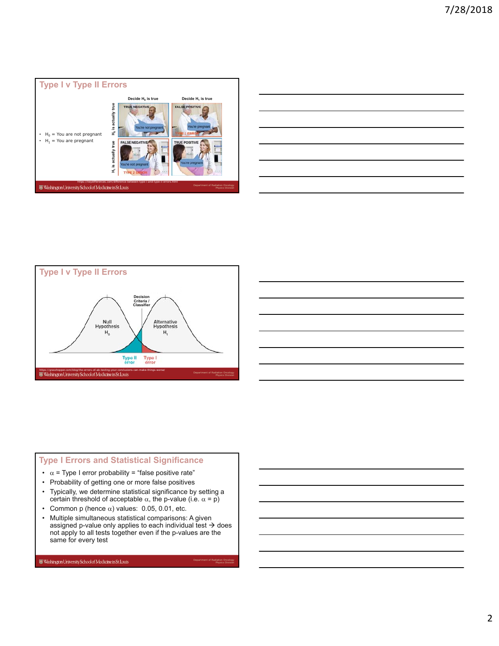







- $\alpha$  = Type I error probability = "false positive rate"
- Probability of getting one or more false positives
- Typically, we determine statistical significance by setting a certain threshold of acceptable  $\alpha$ , the p-value (i.e.  $\alpha = p$ )
- Common p (hence  $\alpha$ ) values: 0.05, 0.01, etc.
- Multiple simultaneous statistical comparisons: A given assigned p-value only applies to each individual test  $\rightarrow$  does not apply to all tests together even if the p-values are the same for every test

Department of Radiation Oncology Physics Division

 $\hbox{\small \textbf{W}\normalsize$ } \hbox{\small \textbf{W}\normalsize$ } \hbox{\small \textbf{W}\normalsize$ } \hbox{\small \textbf{M}\normalsize$ } \hbox{\small \textbf{M}\normalsize$ } \hbox{\small \textbf{M}\normalsize$ } \hbox{\small \textbf{M}\normalsize$ } \hbox{\small \textbf{M}\normalsize$ } \hbox{\small \textbf{M}\normalsize$ } \hbox{\small \textbf{M}\normalsize$ } \hbox{\small \textbf{M}\normalsize$ } \hbox{\small \textbf{M}\normalsize$ } \hbox{\small \textbf{M}\normalsize$ } \hbox{\small \textbf{M}\norm$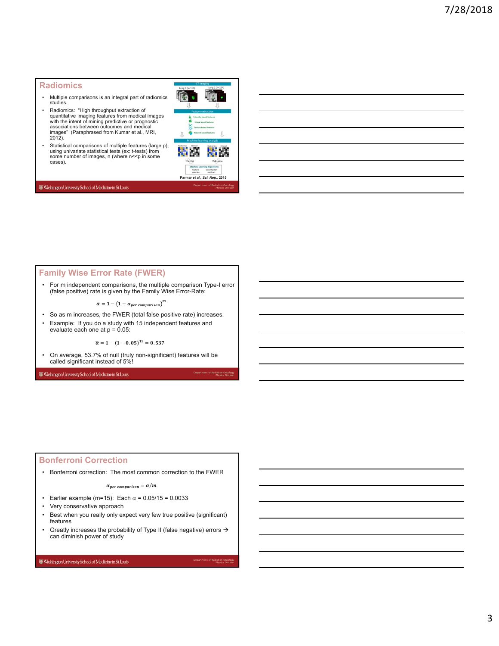### **Radiomics**

- Multiple comparisons is an integral part of radiomics studies.
- Radiomics: "High throughput extraction of quantitative imaging features from medical images with the intent of mining predictive or prognostic associations between outcomes and medical images" (Paraphrased from Kumar et al., MRI, 2012).
- Statistical comparisons of multiple features (large p), using univariate statistical tests (ex: t-tests) from some number of images, n (where n<<p in some cases).



Department of Radiation Oncology Physics Division

Department of Radiation Oncology Physics Division

#### Washington University School of Medicine in St. Louis

### **Family Wise Error Rate (FWER)**

• For m independent comparisons, the multiple comparison Type-I error (false positive) rate is given by the Family Wise Error-Rate:

 $\overline{\alpha}=1-\left(1-\alpha_{per\ comparison}\right)^m$ 

- So as m increases, the FWER (total false positive rate) increases.
- Example: If you do a study with 15 independent features and evaluate each one at  $p = 0.05$ :

 $\bar{\alpha} = 1 - (1 - 0.05)^{15} = 0.537$ 

• On average, 53.7% of null (truly non-significant) features will be called significant instead of 5%!

Washington University School of Medicine in St. Louis

### **Bonferroni Correction**

• Bonferroni correction: The most common correction to the FWER

 $\alpha_{per \, comparison} = \alpha/m$ 

- Earlier example (m=15): Each  $\alpha$  = 0.05/15 = 0.0033
- Very conservative approach
- Best when you really only expect very few true positive (significant) features
- Greatly increases the probability of Type II (false negative) errors  $\rightarrow$ can diminish power of study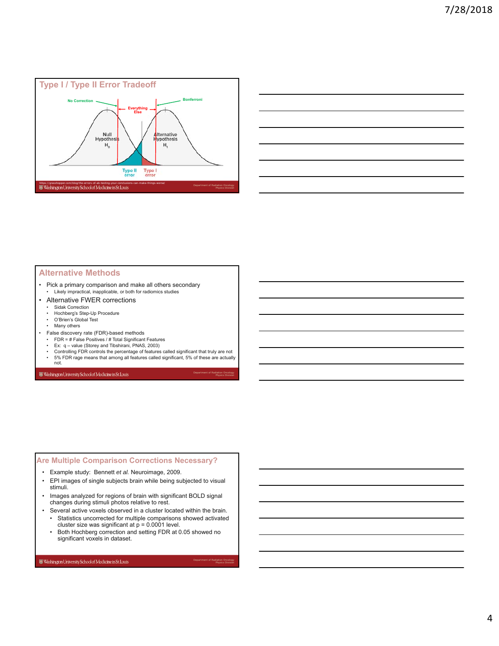

| $\overline{\phantom{a}}$ |                                                                                                                       |  | the control of the control of the |
|--------------------------|-----------------------------------------------------------------------------------------------------------------------|--|-----------------------------------|
|                          |                                                                                                                       |  |                                   |
|                          |                                                                                                                       |  |                                   |
|                          |                                                                                                                       |  |                                   |
|                          | <u> 1989 - Johann Stoff, deutscher Stoff, der Stoff, der Stoff, der Stoff, der Stoff, der Stoff, der Stoff, der S</u> |  | and the control of the con-       |
|                          |                                                                                                                       |  |                                   |

### **Alternative Methods**

- Pick a primary comparison and make all others secondary
- Likely impractical, inapplicable, or both for radiomics studies
- Alternative FWER corrections
	- Sidak Correction
	- Hochberg's Step-Up Procedure
	- O'Brien's Global Test
	- Many others
- False discovery rate (FDR)-based methods
- FDR = # False Positives / # Total Significant Features Ex: q value (Storey and Tibshirani, PNAS, 2003)
- 
- Controlling FDR controls the percentage of features called significant that truly are not 5% FDR rage means that among all features called significant, 5% of these are actually

Department of Radiation Oncology Physics Division

Department of Radiation Oncology Physics Division

not.

Washington University School of Medicine in St. Louis

### **Are Multiple Comparison Corrections Necessary?**

- Example study: Bennett *et al.* Neuroimage, 2009.
- EPI images of single subjects brain while being subjected to visual stimuli.
- Images analyzed for regions of brain with significant BOLD signal changes during stimuli photos relative to rest.
- Several active voxels observed in a cluster located within the brain.
	- Statistics uncorrected for multiple comparisons showed activated cluster size was significant at  $p = 0.0001$  level.
	- Both Hochberg correction and setting FDR at 0.05 showed no significant voxels in dataset.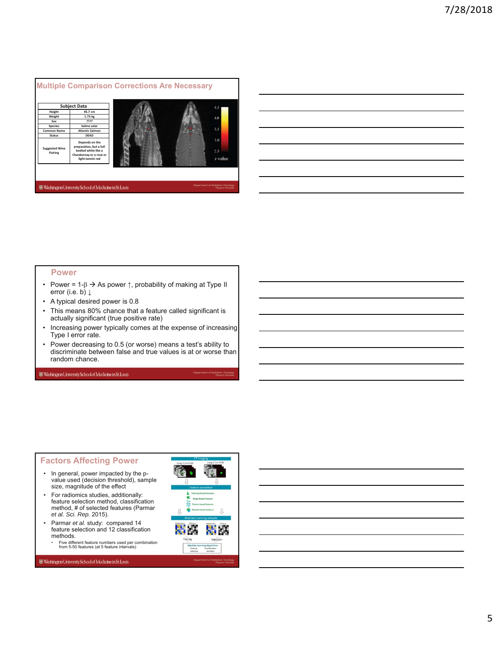

### **Power**

- Power = 1- $\beta \rightarrow A$ s power  $\uparrow$ , probability of making at Type II error (i.e. b)  $\downarrow$
- A typical desired power is 0.8
- This means 80% chance that a feature called significant is actually significant (true positive rate)
- Increasing power typically comes at the expense of increasing Type I error rate.
- Power decreasing to 0.5 (or worse) means a test's ability to discriminate between false and true values is at or worse than random chance.

#### Washington University School of Medicine in St. Louis

## **Factors Affecting Power**

- In general, power impacted by the pvalue used (decision threshold), sample size, magnitude of the effect
- For radiomics studies, additionally: feature selection method, classification method, # of selected features (Parmar *et al. Sci. Rep.* 2015).
- Parmar *et al.* study: compared 14 feature selection and 12 classification methods.
	- Five different feature numbers used per combination from 5-50 features (at 5 feature intervals)

Washington University School of Medicine in St. Louis



Department of Radiation Oncology Physics Division

Physics Division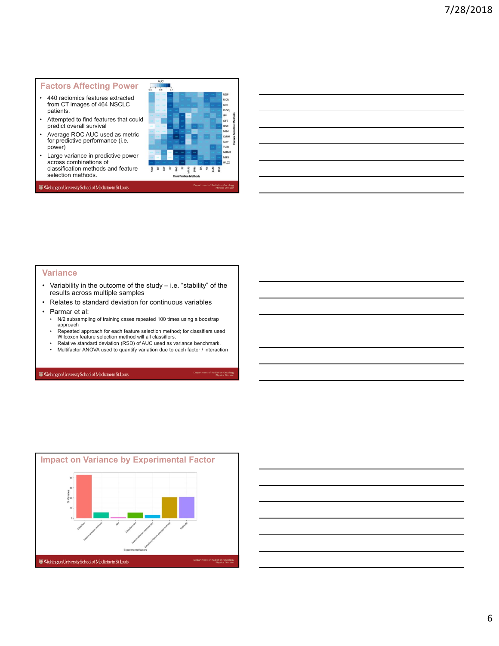## **Factors Affecting Power**

- 440 radiomics features extracted from CT images of 464 NSCLC patients.
- Attempted to find features that could predict overall survival
- Average ROC AUC used as metric for predictive performance (i.e. power)
- Large variance in predictive power across combinations of classification methods and feature selection methods.



Physics Division

Department of Radiation Oncology Physics Division

Washington University School of Medicine in St. Louis

### **Variance**

- Variability in the outcome of the study i.e. "stability" of the results across multiple samples
- Relates to standard deviation for continuous variables
- Parmar et al:
	- N/2 subsampling of training cases repeated 100 times using a boostrap approach
	- Repeated approach for each feature selection method; for classifiers used Wilcoxon feature selection method will all classifiers.
	- Relative standard deviation (RSD) of AUC used as variance benchmark.
	- Multifactor ANOVA used to quantify variation due to each factor / interaction

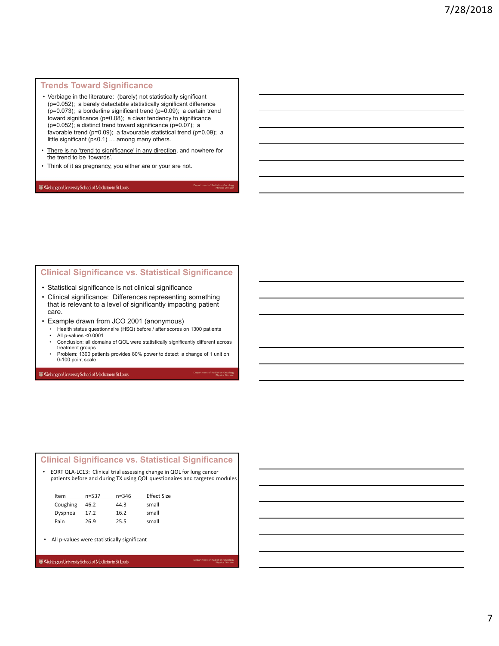## **Trends Toward Significance**

- Verbiage in the literature: (barely) not statistically significant (p=0.052); a barely detectable statistically significant difference (p=0.073); a borderline significant trend (p=0.09); a certain trend toward significance (p=0.08); a clear tendency to significance ( $p=0.052$ ); a distinct trend toward significance ( $p=0.07$ ); a favorable trend (p=0.09); a favourable statistical trend (p=0.09); a little significant (p<0.1) … among many others.
- There is no 'trend to significance' in any direction, and nowhere for the trend to be 'towards'.

Department of Radiation Oncology Physics Division

Department of Radiation Oncology Physics Division

Department of Radiation Oncology Physics Division

• Think of it as pregnancy, you either are or your are not.

#### Washington University School of Medicine in St. Louis

## **Clinical Significance vs. Statistical Significance**

- Statistical significance is not clinical significance
- Clinical significance: Differences representing something that is relevant to a level of significantly impacting patient care.
- Example drawn from JCO 2001 (anonymous)
	- Health status questionnaire (HSQ) before / after scores on 1300 patients • All p-values <0.0001
	- Conclusion: all domains of QOL were statistically significantly different across treatment groups
	- Problem: 1300 patients provides 80% power to detect a change of 1 unit on 0-100 point scale

Washington University School of Medicine in St. Louis

## **Clinical Significance vs. Statistical Significance**

• EORT QLA‐LC13: Clinical trial assessing change in QOL for lung cancer patients before and during TX using QOL questionaires and targeted modules

| Item     | $n = 537$ | $n = 346$ | <b>Effect Size</b> |
|----------|-----------|-----------|--------------------|
| Coughing | 46.2      | 44.3      | small              |
| Dyspnea  | 17.2      | 16.2      | small              |
| Pain     | 26.9      | 25.5      | small              |

• All p-values were statistically significant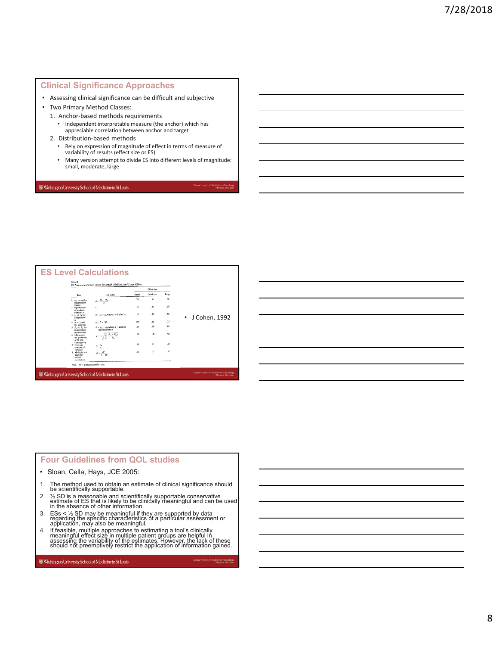## **Clinical Significance Approaches**

- Assessing clinical significance can be difficult and subjective
- Two Primary Method Classes:
	- 1. Anchor‐based methods requirements
		- Independent interpretable measure (the anchor) which has appreciable correlation between anchor and target
	- 2. Distribution‐based methods
		- Rely on expression of magnitude of effect in terms of measure of variability of results (effect size or ES)
	- Many version attempt to divide ES into different levels of magnitude: small, moderate, large

Department of Radiation Oncology Physics Division

Department of Radiation Oncology Physics Division

Washington University School of Medicine in St. Louis

|                                                                 | ES Indexes and Their Values for Small, Medium, and Large Effects<br>Fifeet size |       |         |       |               |
|-----------------------------------------------------------------|---------------------------------------------------------------------------------|-------|---------|-------|---------------|
| Test                                                            | <b>ES</b> index                                                                 | Small | Medium. | Large |               |
| 1. $m_a$ vs. $m_a$ for<br>independent<br>means                  | $d = \frac{m_a - m_B}{m}$                                                       | 20    | .50     | 30    |               |
| 2. Significance<br>of product-<br>moment r                      | r                                                                               | .10   | .30     | .50   |               |
| $3. ra$ vs. $ra$ for<br>independent<br>$\overline{\phantom{a}}$ | $q = z_A - z_B$ where $z =$ Fisher's z                                          | .10   | .30     | .50   | J Cohen, 1992 |
| $4. P - 5$ and<br>the sign test                                 | $g = P - 50$                                                                    | os    | .15     | .25   |               |
| 5. $P_a$ vs. $P_a$ for<br>independent<br>proportions            | $h - \phi_A - \phi_B$ where $\phi$ = arcsine<br>transformation                  | .20   | 50      | 30    |               |
| 6. Chi-square<br>for goodness<br>of fit and                     | $(P_{11}-P_{04})^2$                                                             | .10   | .30     | .50   |               |
| contingency<br>7. One-way<br>analysis of<br>variance            | $f=\frac{\sigma_{\rm ex}}{\sigma}$                                              | .10   | .25     | .40   |               |
| 8. Multiple and<br>multiple<br>partial<br>correlation           | $f^2 = \frac{R^2}{1 - R^2}$                                                     | 02    | .15     | 35    |               |

## **Four Guidelines from QOL studies**

- Sloan, Cella, Hays, JCE 2005:
- 1. The method used to obtain an estimate of clinical significance should be scientifically supportable.
- 2. ½ SD is a reasonable and scientifically supportable conservative estimate of ES that is likely to be clinically meaningful and can be used in the absence of other information.
- 3. ESs < ½ SD may be meaningful if they are supported by data regarding the specific characteristics of a particular assessment or application, may also be meaningful.
- 4. If feasible, multiple approaches to estimating a tool's clinically<br>meaningful effect size in multiple patient groups are helpful in<br>assessing the variability of the estimates. However, the lack of these<br>should not preem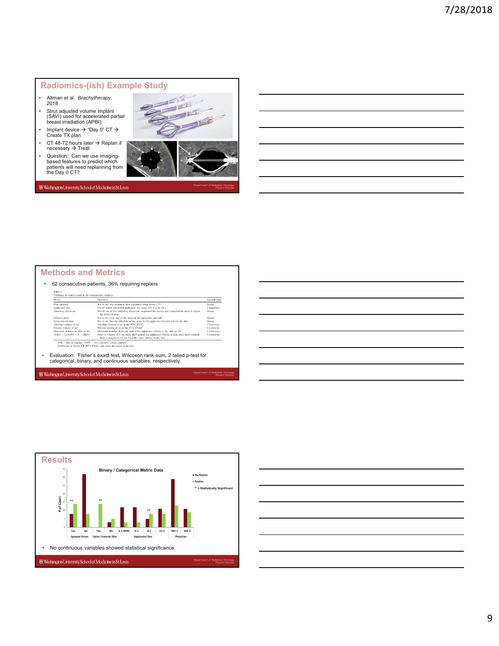## **Radiomics-(ish) Example Study**

- Altman et al. *Brachytherapy*, 2018
- Strut adjusted volume implant (SAVI) used for accelerated partial breast irradiation (APBI)
- Implant device  $\rightarrow$  "Day 0" CT  $\rightarrow$ Create TX plan
- CT 48-72 hours later  $\rightarrow$  Replan if necessary  $\rightarrow$  Treat
- Question: Can we use imaging-based features to predict which patients will need replanning from the Day 0 CT?



Department of Radiation Oncology Physics Division

Department of Radiation Oncology Physics Division

Washington University School of Medicine in St. Louis

### **Methods and Metrics**

#### • 62 consecutive patients, 36% requiring replans

| <b>Metric</b>                     | Definition                                                                                                                                                |               |  |
|-----------------------------------|-----------------------------------------------------------------------------------------------------------------------------------------------------------|---------------|--|
| Plan adapted                      | Yes or no: was treatment plan replanned using Verify CT?                                                                                                  | <b>Binary</b> |  |
| Applicator size                   | Use of which size SAVI applicator: 6-1 mini, 6-1, 8-1, or 10-1                                                                                            | Categorical   |  |
| Attending physician               | Which one of two attending physicians implanted the device and evaluated the need to replan<br>the DOI CT plan                                            | Binary        |  |
| Splayed struts                    | Yes or no: were any of the struts in the applicator splayed?                                                                                              | Binary        |  |
| Splay toward skin                 | Yes or no: was the direction of the splay in the applicator directed toward the skin                                                                      | Binary        |  |
| Absolute volume of air            | Absolute volume of air in the PTV EVAL                                                                                                                    | Continuous    |  |
| Percent volume of air             | Percent volume of air in the PTV_EVAL                                                                                                                     | Continuous    |  |
| Minimum distance to skin or ribs. | Minimum distance from any part of the applicator volume to the skin or ribs                                                                               | Continuous    |  |
| $(SAVI + I)/(SAVI + I - SKIN)$    | Ratio of volume of 1-cm thick shell around the applicator volume to that same shell cropped<br>from a margin of 0.5 cm from the outer surface of the skin | Continuous    |  |

• Evaluation: Fisher's exact test, Wilcoxon rank-sum, 2 tailed p-test for categorical, binary, and continuous variables, respectively.



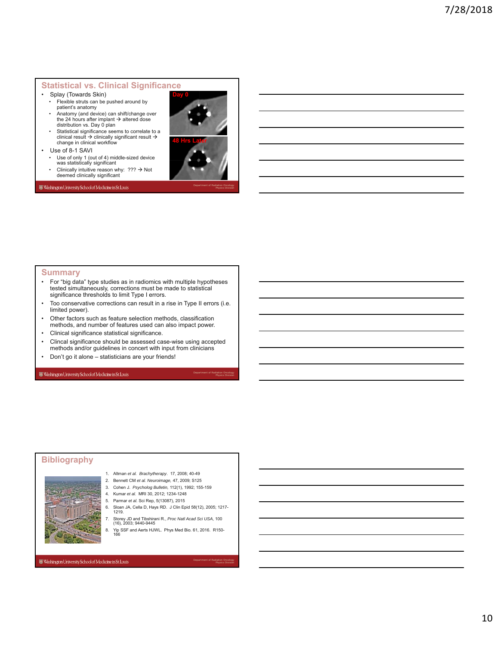## **Statistical vs. Clinical Significance**

- Splay (Towards Skin)
- Flexible struts can be pushed around by patient's anatomy
- Anatomy (and device) can shift/change over the 24 hours after implant  $\rightarrow$  altered dose distribution vs. Day 0 plan
- Statistical significance seems to correlate to a clinical result → clinically significant result →<br>change in clinical workflow
- Use of 8-1 SAVI
- Use of only 1 (out of 4) middle-sized device
- was statistically significant • Clinically intuitive reason why:  $??? \rightarrow Not$  deemed clinically significant
- Washington University School of Medicine in St. Louis



Physics Division

## **Summary**

- For "big data" type studies as in radiomics with multiple hypotheses tested simultaneously, corrections must be made to statistical significance thresholds to limit Type I errors.
- Too conservative corrections can result in a rise in Type II errors (i.e. limited power).
- Other factors such as feature selection methods, classification methods, and number of features used can also impact power.
- Clinical significance statistical significance.
- Clincal significance should be assessed case-wise using accepted methods and/or guidelines in concert with input from clinicians
- Don't go it alone statisticians are your friends!

Washington University School of Medicine in St. Louis

### **Bibliography**



- 1. Altman *et al. Brachytherapy*. 17, 2008; 40-49
- 2. Bennett CM *et al. Neuroimage,* 47, 2009; S125
- 3. Cohen J. *Psycholog Bulletin,* 112(1), 1992; 155-159
- 4. Kumar *et al.* MRI 30, 2012; 1234-1248
- 5. Parmar *et al.* Sci Rep, 5(13087), 2015
- 6. Sloan JA, Cella D, Hays RD. J Clin Epid 58(12), 2005; 1217- 1219.
- 7. Storey JD and Tibshirani R., *Proc Natl Acad Sci USA*, 100 (16), 2003; 9440-9445
- 8. Yip SSF and Aerts HJWL. Phys Med Bio. 61, 2016. R150- 166

#### Washington University School of Medicine in St. Louis

Department of Radiation Oncology Physics Division

Department of Radiation Oncology Physics Division